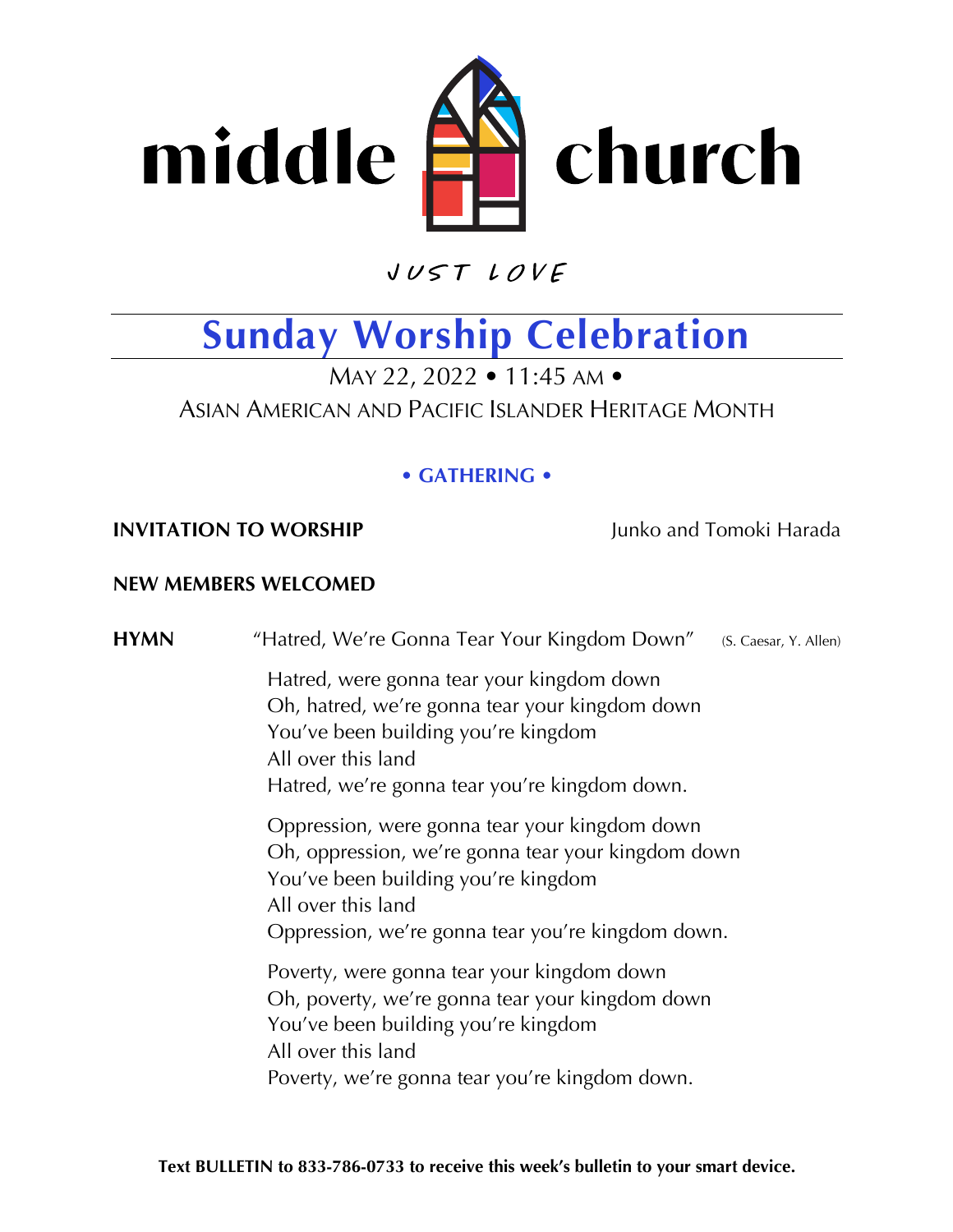

 $VUSTLOVE$ 

## **Sunday Worship Celebration**

MAY 22, 2022 • 11:45 AM • ASIAN AMERICAN AND PACIFIC ISLANDER HERITAGE MONTH

## **• GATHERING •**

## **INVITATION TO WORSHIP Junko and Tomoki Harada**

## **NEW MEMBERS WELCOMED**

**HYMN** "Hatred, We're Gonna Tear Your Kingdom Down" (S. Caesar, Y. Allen) Hatred, were gonna tear your kingdom down Oh, hatred, we're gonna tear your kingdom down You've been building you're kingdom All over this land Hatred, we're gonna tear you're kingdom down. Oppression, were gonna tear your kingdom down Oh, oppression, we're gonna tear your kingdom down You've been building you're kingdom All over this land Oppression, we're gonna tear you're kingdom down. Poverty, were gonna tear your kingdom down Oh, poverty, we're gonna tear your kingdom down You've been building you're kingdom All over this land Poverty, we're gonna tear you're kingdom down.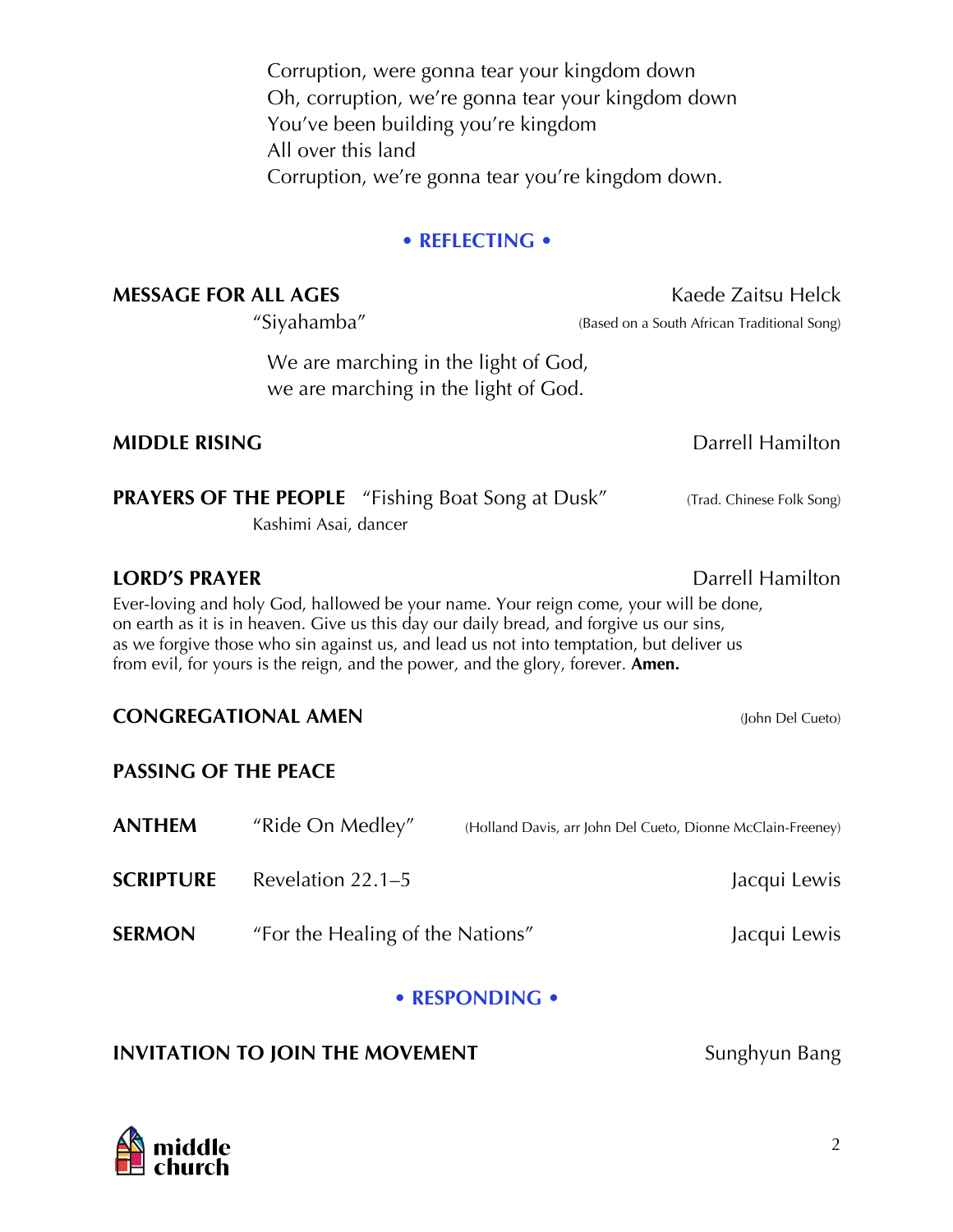Corruption, were gonna tear your kingdom down Oh, corruption, we're gonna tear your kingdom down You've been building you're kingdom All over this land Corruption, we're gonna tear you're kingdom down.

## **• REFLECTING •**

## **MESSAGE FOR ALL AGES** Kaede Zaitsu Helck

We are marching in the light of God, we are marching in the light of God.

## **MIDDLE RISING** Darrell Hamilton

**PRAYERS OF THE PEOPLE** "Fishing Boat Song at Dusk" (Trad. Chinese Folk Song)

Kashimi Asai, dancer

## **LORD'S PRAYER Data LORD'S PRAYER Data LORD'S PRAYER**

Ever-loving and holy God, hallowed be your name. Your reign come, your will be done, on earth as it is in heaven. Give us this day our daily bread, and forgive us our sins, as we forgive those who sin against us, and lead us not into temptation, but deliver us from evil, for yours is the reign, and the power, and the glory, forever. **Amen.**

## **CONGREGATIONAL AMEN** (John Del Cueto)

## **PASSING OF THE PEACE**

| <b>ANTHEM</b>    | "Ride On Medley"                 | (Holland Davis, arr John Del Cueto, Dionne McClain-Freeney) |
|------------------|----------------------------------|-------------------------------------------------------------|
| <b>SCRIPTURE</b> | Revelation $22.1-5$              | Jacqui Lewis                                                |
| <b>SERMON</b>    | "For the Healing of the Nations" | Jacqui Lewis                                                |

## **• RESPONDING •**

## **INVITATION TO JOIN THE MOVEMENT** Sunghyun Bang

"Siyahamba" (Based on a South African Traditional Song)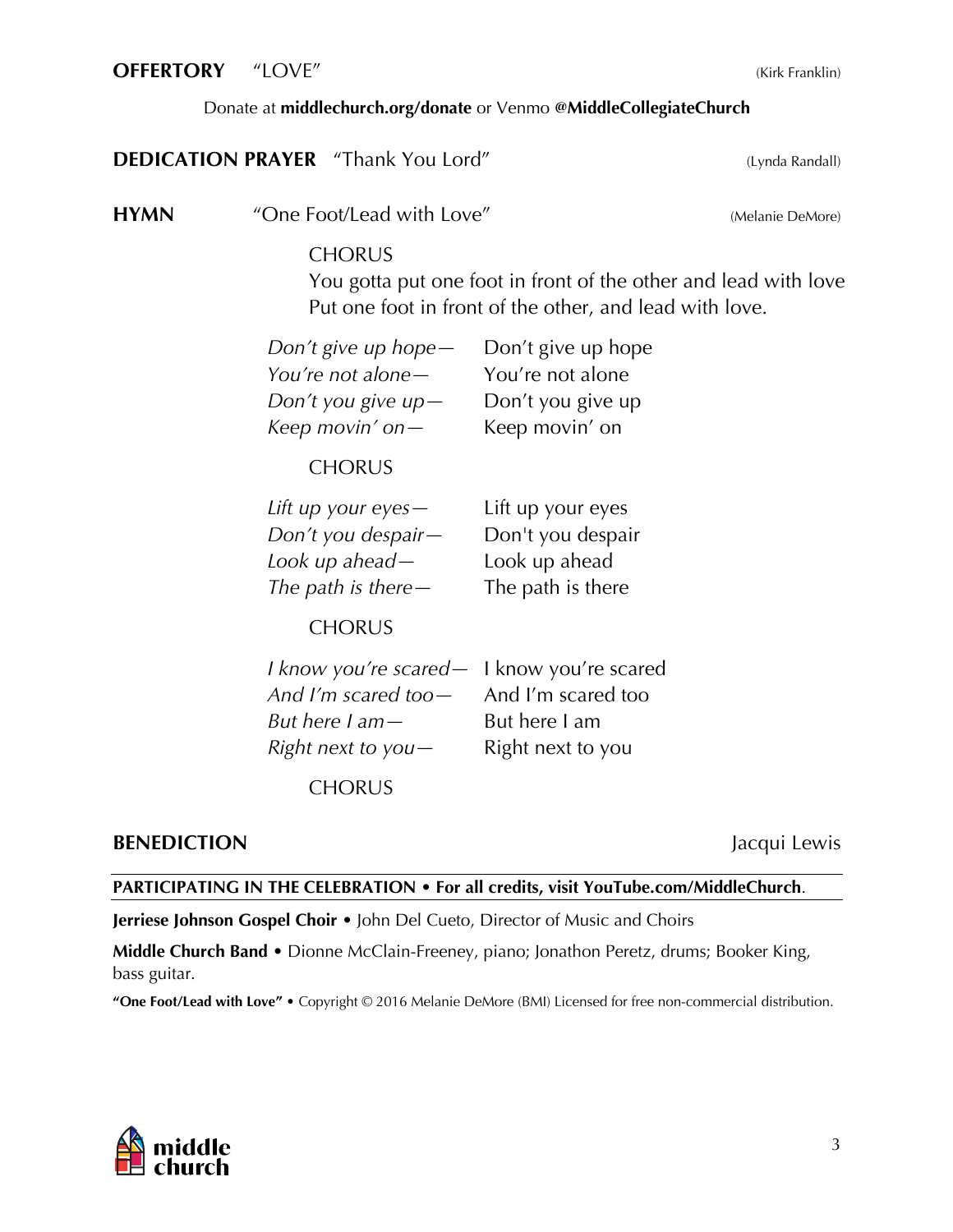#### **OFFERTORY** "LOVE" (Kirk Franklin)

#### Donate at **middlechurch.org/donate** or Venmo **[@MiddleCollegiateChurch](https://www.middlechurch.org/donate/)**

| <b>DEDICATION PRAYER</b> "Thank You Lord" |  | (Lynda Randall) |
|-------------------------------------------|--|-----------------|
|                                           |  |                 |

**HYMN** "One Foot/Lead with Love" (Melanie DeMore)

## **CHORUS**

You gotta put one foot in front of the other and lead with love Put one foot in front of the other, and lead with love.

| Don't give up hope |
|--------------------|
| You're not alone   |
| Don't you give up  |
| Keep movin' on     |
|                    |

## **CHORUS**

*Lift up your eyes—* Lift up your eyes *Don't you despair—* Don't you despair *Look up ahead—* Look up ahead *The path is there—* The path is there

**CHORUS** 

| I know you're scared - I know you're scared |                   |
|---------------------------------------------|-------------------|
| And I'm scared too - And I'm scared too     |                   |
| But here I am—                              | But here I am     |
| Right next to you $-$                       | Right next to you |
|                                             |                   |

**CHORUS** 

## **BENEDICTION** Jacqui Lewis

#### **PARTICIPATING IN THE CELEBRATION • For all credits, visit YouTube.com/MiddleChurch**.

**Jerriese Johnson Gospel Choir** • John Del Cueto, Director of Music and Choirs

**Middle Church Band** • Dionne McClain-Freeney, piano; Jonathon Peretz, drums; Booker King, bass guitar.

**"One Foot/Lead with Love"** • Copyright © 2016 Melanie DeMore (BMI) Licensed for free non-commercial distribution.

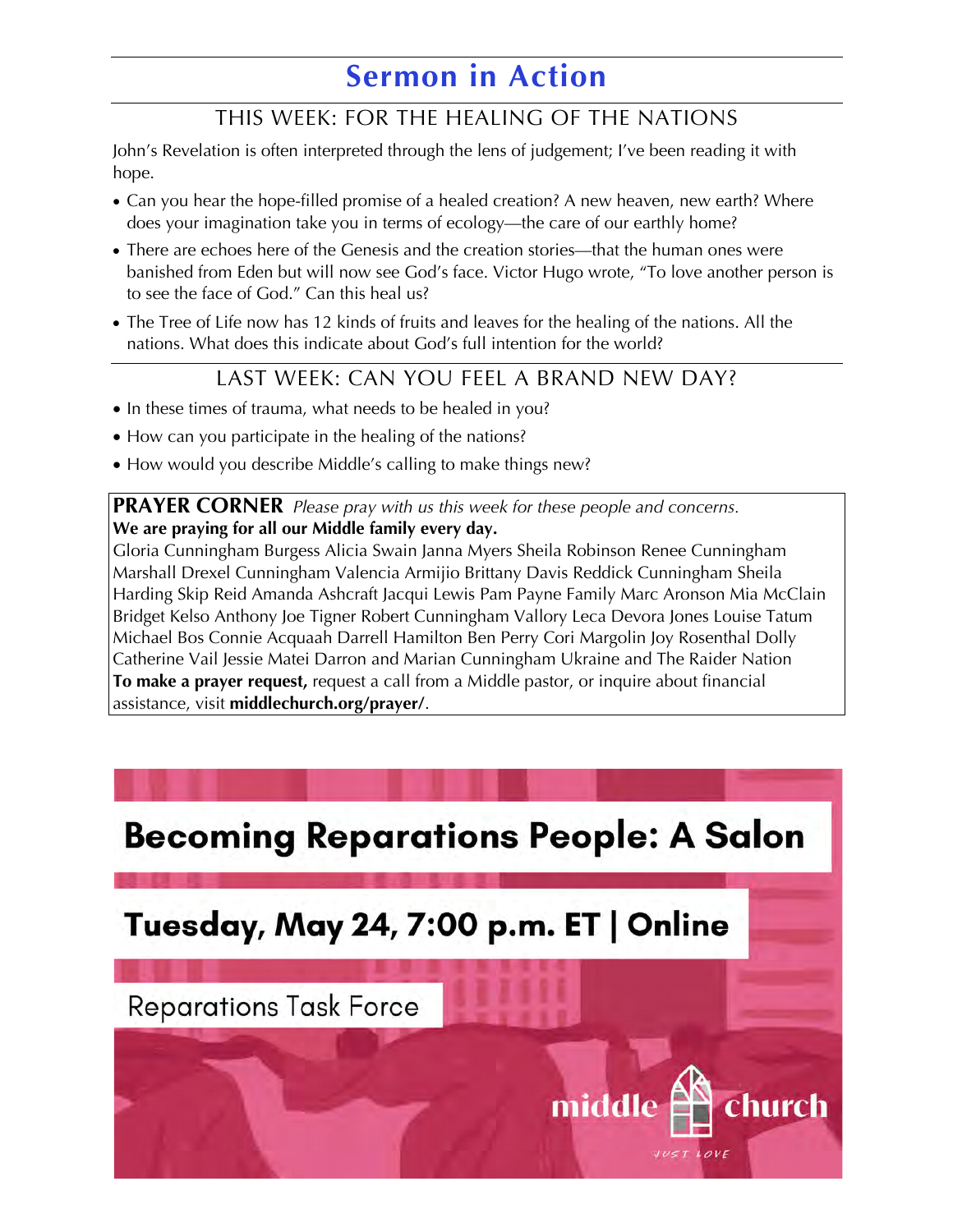## **Sermon in Action**

## THIS WEEK: FOR THE HEALING OF THE NATIONS

John's Revelation is often interpreted through the lens of judgement; I've been reading it with hope.

- Can you hear the hope-filled promise of a healed creation? A new heaven, new earth? Where does your imagination take you in terms of ecology—the care of our earthly home?
- There are echoes here of the Genesis and the creation stories—that the human ones were banished from Eden but will now see God's face. Victor Hugo wrote, "To love another person is to see the face of God." Can this heal us?
- The Tree of Life now has 12 kinds of fruits and leaves for the healing of the nations. All the nations. What does this indicate about God's full intention for the world?

## LAST WEEK: CAN YOU FEEL A BRAND NEW DAY?

- In these times of trauma, what needs to be healed in you?
- How can you participate in the healing of the nations?
- How would you describe Middle's calling to make things new?

**PRAYER CORNER** *Please pray with us this week for these people and concerns.* **We are praying for all our Middle family every day.**

Gloria Cunningham Burgess Alicia Swain Janna Myers Sheila Robinson Renee Cunningham Marshall Drexel Cunningham Valencia Armijio Brittany Davis Reddick Cunningham Sheila [Harding Skip Reid Amanda Ashcraft Jacqui Lewis Pam Payne Family Marc Aronson Mia McClain](https://www.middlechurch.org/prayer/)  Bridget Kelso Anthony Joe Tigner Robert Cunningham Vallory Leca Devora Jones Louise Tatum Michael Bos Connie Acquaah Darrell Hamilton Ben Perry Cori Margolin Joy Rosenthal Dolly Catherine Vail Jessie Matei Darron and Marian Cunningham Ukraine and The Raider Nation **To make a prayer request,** request a call from a Middle pastor, or inquire about financial assistance, visit **middlechurch.org/prayer/**.

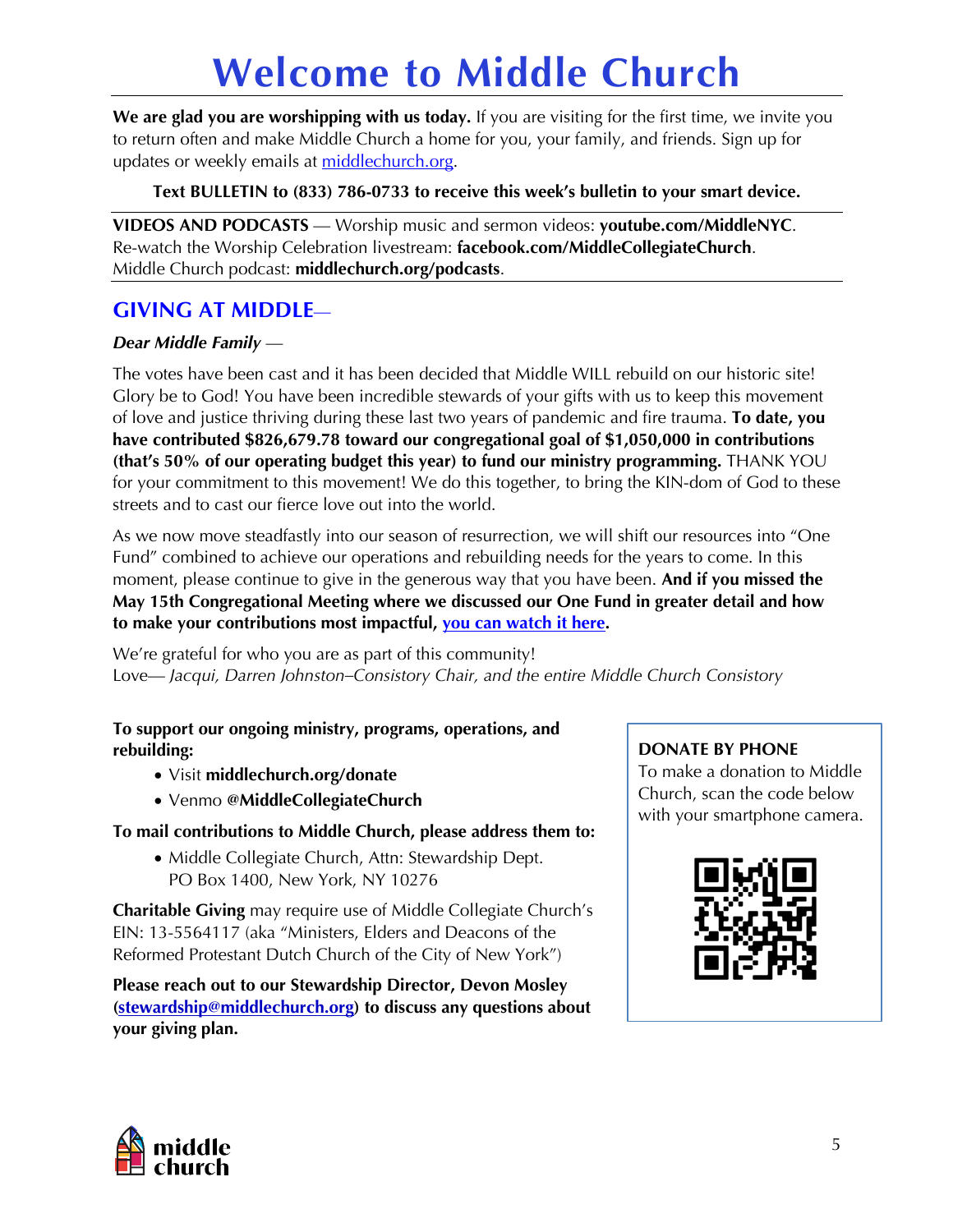# **[Welcome to Middle Church](https://www.middlechurch.org)**

**We are glad you are worshipping with us today.** If you are visiting for the first time, we invite you to return often and make Middle Church a home for you, your family, and friends. Sign up for updates or weekly emails at middlechurch.org.

**Text BULLETIN to (833) 786-0733 to receive this week's bulletin to your smart device.**

**VIDEOS AND PODCASTS** — Worship music and sermon videos: **youtube.com/MiddleNYC**. Re-watch the Worship Celebration livestream: **facebook.com/MiddleCollegiateChurch**. Middle Church podcast: **middlechurch.org/podcasts**.

## **GIVING AT MIDDLE**—

## *Dear Middle Family* —

The votes have been cast and it has been decided that Middle WILL rebuild on our historic site! Glory be to God! You have been incredible stewards of your gifts with us to keep this movement of love and justice thriving during these last two years of pandemic and fire trauma. **To date, you have contributed \$826,679.78 toward our congregational goal of \$1,050,000 in contributions (that's 50% of our operating budget this year) to fund our ministry programming.** THANK YOU for your commitment to this movement! We do this together, to bring the KIN-dom of God to these streets and to cast our fierce love out into the world.

[As we now move steadfastly into our season of resurrection, we will shift our resources into "One](https://www.youtube.com/watch?v=M4Hd0slsJZI)  Fund" combined to achieve our operations and rebuilding needs for the years to come. In this moment, please continue to give in the generous way that you have been. **And if you missed the May 15th Congregational Meeting where we discussed our One Fund in greater detail and how to make your contributions most impactful, you can watch it here.**

We're grateful for who you are as part of this community! Love— *Jacqui, Darren Johnston–Consistory Chair, and the entire Middle Church Consistory*

### **[To support our ongoing ministry, programs, operations, and](https://www.middlechurch.org/donate/)  rebuilding:**

- Visit **middlechurch.org/donate**
- Venmo **@MiddleCollegiateChurch**

**To mail contributions to Middle Church, please address them to:**

• Middle Collegiate Church, Attn: Stewardship Dept. PO Box 1400, New York, NY 10276

**Charitable Giving** may require use of Middle Collegiate Church's EIN: 13-5564117 (aka "Ministers, Elders and Deacons of the Reformed Protestant Dutch Church of the City of New York")

**[Please reach out to our Stewardship Director, Devon Mosley](mailto:stewardship@middlechurch.org)  (stewardship@middlechurch.org) to discuss any questions about your giving plan.** 

## **DONATE BY PHONE**

To make a donation to Middle Church, scan the code below with your smartphone camera.